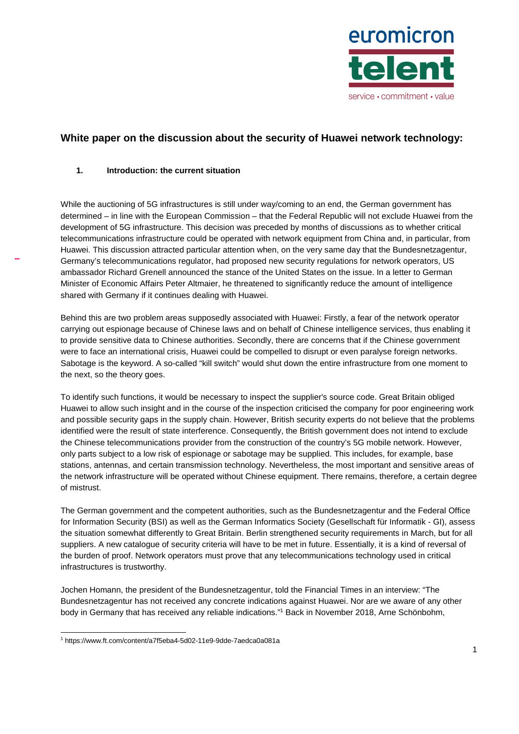

# **White paper on the discussion about the security of Huawei network technology:**

# **1. Introduction: the current situation**

While the auctioning of 5G infrastructures is still under way/coming to an end, the German government has determined – in line with the European Commission – that the Federal Republic will not exclude Huawei from the development of 5G infrastructure. This decision was preceded by months of discussions as to whether critical telecommunications infrastructure could be operated with network equipment from China and, in particular, from Huawei. This discussion attracted particular attention when, on the very same day that the Bundesnetzagentur, Germany's telecommunications regulator, had proposed new security regulations for network operators, US ambassador Richard Grenell announced the stance of the United States on the issue. In a letter to German Minister of Economic Affairs Peter Altmaier, he threatened to significantly reduce the amount of intelligence shared with Germany if it continues dealing with Huawei.

Behind this are two problem areas supposedly associated with Huawei: Firstly, a fear of the network operator carrying out espionage because of Chinese laws and on behalf of Chinese intelligence services, thus enabling it to provide sensitive data to Chinese authorities. Secondly, there are concerns that if the Chinese government were to face an international crisis, Huawei could be compelled to disrupt or even paralyse foreign networks. Sabotage is the keyword. A so-called "kill switch" would shut down the entire infrastructure from one moment to the next, so the theory goes.

To identify such functions, it would be necessary to inspect the supplier's source code. Great Britain obliged Huawei to allow such insight and in the course of the inspection criticised the company for poor engineering work and possible security gaps in the supply chain. However, British security experts do not believe that the problems identified were the result of state interference. Consequently, the British government does not intend to exclude the Chinese telecommunications provider from the construction of the country's 5G mobile network. However, only parts subject to a low risk of espionage or sabotage may be supplied. This includes, for example, base stations, antennas, and certain transmission technology. Nevertheless, the most important and sensitive areas of the network infrastructure will be operated without Chinese equipment. There remains, therefore, a certain degree of mistrust.

The German government and the competent authorities, such as the Bundesnetzagentur and the Federal Office for Information Security (BSI) as well as the German Informatics Society (Gesellschaft für Informatik - GI), assess the situation somewhat differently to Great Britain. Berlin strengthened security requirements in March, but for all suppliers. A new catalogue of security criteria will have to be met in future. Essentially, it is a kind of reversal of the burden of proof. Network operators must prove that any telecommunications technology used in critical infrastructures is trustworthy.

Jochen Homann, the president of the Bundesnetzagentur, told the Financial Times in an interview: "The Bundesnetzagentur has not received any concrete indications against Huawei. Nor are we aware of any other body in Germany that has received any reliable indications."<sup>1</sup> Back in November 2018, Arne Schönbohm,

 $\overline{a}$ 1 https://www.ft.com/content/a7f5eba4-5d02-11e9-9dde-7aedca0a081a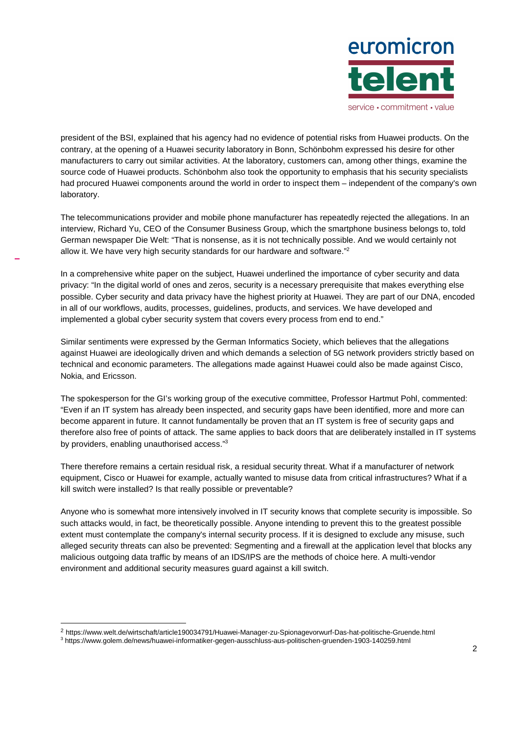

president of the BSI, explained that his agency had no evidence of potential risks from Huawei products. On the contrary, at the opening of a Huawei security laboratory in Bonn, Schönbohm expressed his desire for other manufacturers to carry out similar activities. At the laboratory, customers can, among other things, examine the source code of Huawei products. Schönbohm also took the opportunity to emphasis that his security specialists had procured Huawei components around the world in order to inspect them – independent of the company's own laboratory.

The telecommunications provider and mobile phone manufacturer has repeatedly rejected the allegations. In an interview, Richard Yu, CEO of the Consumer Business Group, which the smartphone business belongs to, told German newspaper Die Welt: "That is nonsense, as it is not technically possible. And we would certainly not allow it. We have very high security standards for our hardware and software." $2$ 

In a comprehensive white paper on the subject, Huawei underlined the importance of cyber security and data privacy: "In the digital world of ones and zeros, security is a necessary prerequisite that makes everything else possible. Cyber security and data privacy have the highest priority at Huawei. They are part of our DNA, encoded in all of our workflows, audits, processes, guidelines, products, and services. We have developed and implemented a global cyber security system that covers every process from end to end."

Similar sentiments were expressed by the German Informatics Society, which believes that the allegations against Huawei are ideologically driven and which demands a selection of 5G network providers strictly based on technical and economic parameters. The allegations made against Huawei could also be made against Cisco, Nokia, and Ericsson.

The spokesperson for the GI's working group of the executive committee, Professor Hartmut Pohl, commented: "Even if an IT system has already been inspected, and security gaps have been identified, more and more can become apparent in future. It cannot fundamentally be proven that an IT system is free of security gaps and therefore also free of points of attack. The same applies to back doors that are deliberately installed in IT systems by providers, enabling unauthorised access."<sup>3</sup>

There therefore remains a certain residual risk, a residual security threat. What if a manufacturer of network equipment, Cisco or Huawei for example, actually wanted to misuse data from critical infrastructures? What if a kill switch were installed? Is that really possible or preventable?

Anyone who is somewhat more intensively involved in IT security knows that complete security is impossible. So such attacks would, in fact, be theoretically possible. Anyone intending to prevent this to the greatest possible extent must contemplate the company's internal security process. If it is designed to exclude any misuse, such alleged security threats can also be prevented: Segmenting and a firewall at the application level that blocks any malicious outgoing data traffic by means of an IDS/IPS are the methods of choice here. A multi-vendor environment and additional security measures guard against a kill switch.

<sup>2</sup> https://www.welt.de/wirtschaft/article190034791/Huawei-Manager-zu-Spionagevorwurf-Das-hat-politische-Gruende.html

<sup>3</sup> https://www.golem.de/news/huawei-informatiker-gegen-ausschluss-aus-politischen-gruenden-1903-140259.html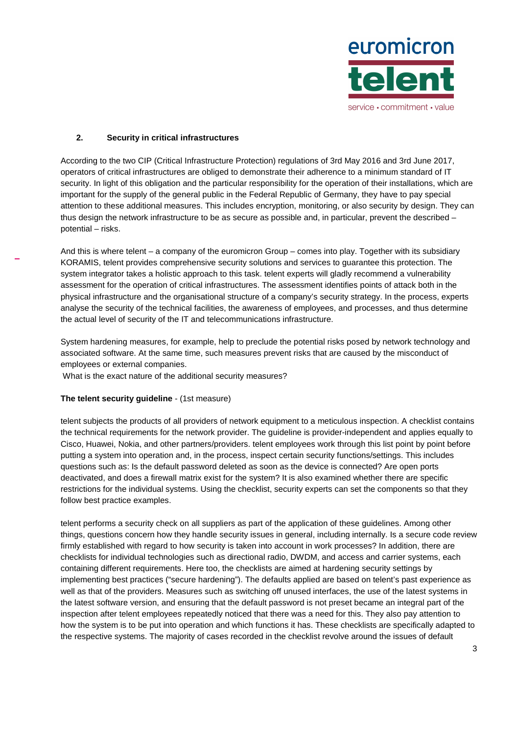

## **2. Security in critical infrastructures**

According to the two CIP (Critical Infrastructure Protection) regulations of 3rd May 2016 and 3rd June 2017, operators of critical infrastructures are obliged to demonstrate their adherence to a minimum standard of IT security. In light of this obligation and the particular responsibility for the operation of their installations, which are important for the supply of the general public in the Federal Republic of Germany, they have to pay special attention to these additional measures. This includes encryption, monitoring, or also security by design. They can thus design the network infrastructure to be as secure as possible and, in particular, prevent the described – potential – risks.

And this is where telent – a company of the euromicron Group – comes into play. Together with its subsidiary KORAMIS, telent provides comprehensive security solutions and services to guarantee this protection. The system integrator takes a holistic approach to this task, telent experts will gladly recommend a vulnerability assessment for the operation of critical infrastructures. The assessment identifies points of attack both in the physical infrastructure and the organisational structure of a company's security strategy. In the process, experts analyse the security of the technical facilities, the awareness of employees, and processes, and thus determine the actual level of security of the IT and telecommunications infrastructure.

System hardening measures, for example, help to preclude the potential risks posed by network technology and associated software. At the same time, such measures prevent risks that are caused by the misconduct of employees or external companies.

What is the exact nature of the additional security measures?

# **The telent security guideline** - (1st measure)

telent subjects the products of all providers of network equipment to a meticulous inspection. A checklist contains the technical requirements for the network provider. The guideline is provider-independent and applies equally to Cisco, Huawei, Nokia, and other partners/providers. telent employees work through this list point by point before putting a system into operation and, in the process, inspect certain security functions/settings. This includes questions such as: Is the default password deleted as soon as the device is connected? Are open ports deactivated, and does a firewall matrix exist for the system? It is also examined whether there are specific restrictions for the individual systems. Using the checklist, security experts can set the components so that they follow best practice examples.

telent performs a security check on all suppliers as part of the application of these guidelines. Among other things, questions concern how they handle security issues in general, including internally. Is a secure code review firmly established with regard to how security is taken into account in work processes? In addition, there are checklists for individual technologies such as directional radio, DWDM, and access and carrier systems, each containing different requirements. Here too, the checklists are aimed at hardening security settings by implementing best practices ("secure hardening"). The defaults applied are based on telent's past experience as well as that of the providers. Measures such as switching off unused interfaces, the use of the latest systems in the latest software version, and ensuring that the default password is not preset became an integral part of the inspection after telent employees repeatedly noticed that there was a need for this. They also pay attention to how the system is to be put into operation and which functions it has. These checklists are specifically adapted to the respective systems. The majority of cases recorded in the checklist revolve around the issues of default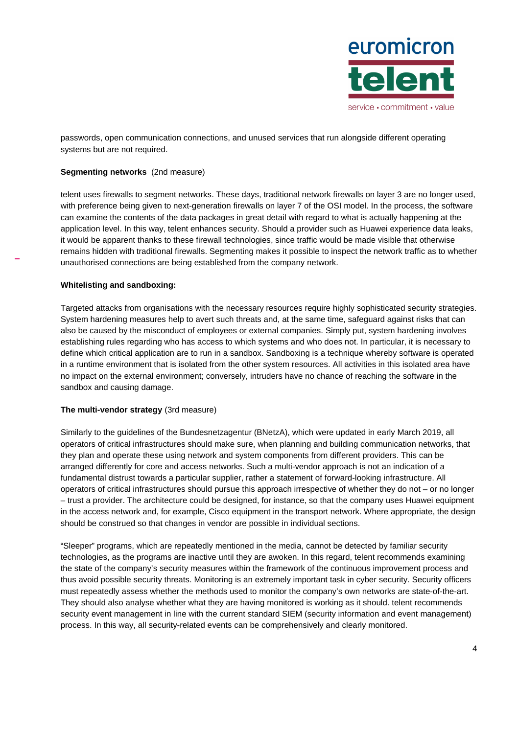

passwords, open communication connections, and unused services that run alongside different operating systems but are not required.

### **Segmenting networks** (2nd measure)

telent uses firewalls to segment networks. These days, traditional network firewalls on layer 3 are no longer used, with preference being given to next-generation firewalls on layer 7 of the OSI model. In the process, the software can examine the contents of the data packages in great detail with regard to what is actually happening at the application level. In this way, telent enhances security. Should a provider such as Huawei experience data leaks, it would be apparent thanks to these firewall technologies, since traffic would be made visible that otherwise remains hidden with traditional firewalls. Segmenting makes it possible to inspect the network traffic as to whether unauthorised connections are being established from the company network.

#### **Whitelisting and sandboxing:**

Targeted attacks from organisations with the necessary resources require highly sophisticated security strategies. System hardening measures help to avert such threats and, at the same time, safeguard against risks that can also be caused by the misconduct of employees or external companies. Simply put, system hardening involves establishing rules regarding who has access to which systems and who does not. In particular, it is necessary to define which critical application are to run in a sandbox. Sandboxing is a technique whereby software is operated in a runtime environment that is isolated from the other system resources. All activities in this isolated area have no impact on the external environment; conversely, intruders have no chance of reaching the software in the sandbox and causing damage.

#### **The multi-vendor strategy** (3rd measure)

Similarly to the guidelines of the Bundesnetzagentur (BNetzA), which were updated in early March 2019, all operators of critical infrastructures should make sure, when planning and building communication networks, that they plan and operate these using network and system components from different providers. This can be arranged differently for core and access networks. Such a multi-vendor approach is not an indication of a fundamental distrust towards a particular supplier, rather a statement of forward-looking infrastructure. All operators of critical infrastructures should pursue this approach irrespective of whether they do not – or no longer – trust a provider. The architecture could be designed, for instance, so that the company uses Huawei equipment in the access network and, for example, Cisco equipment in the transport network. Where appropriate, the design should be construed so that changes in vendor are possible in individual sections.

"Sleeper" programs, which are repeatedly mentioned in the media, cannot be detected by familiar security technologies, as the programs are inactive until they are awoken. In this regard, telent recommends examining the state of the company's security measures within the framework of the continuous improvement process and thus avoid possible security threats. Monitoring is an extremely important task in cyber security. Security officers must repeatedly assess whether the methods used to monitor the company's own networks are state-of-the-art. They should also analyse whether what they are having monitored is working as it should. telent recommends security event management in line with the current standard SIEM (security information and event management) process. In this way, all security-related events can be comprehensively and clearly monitored.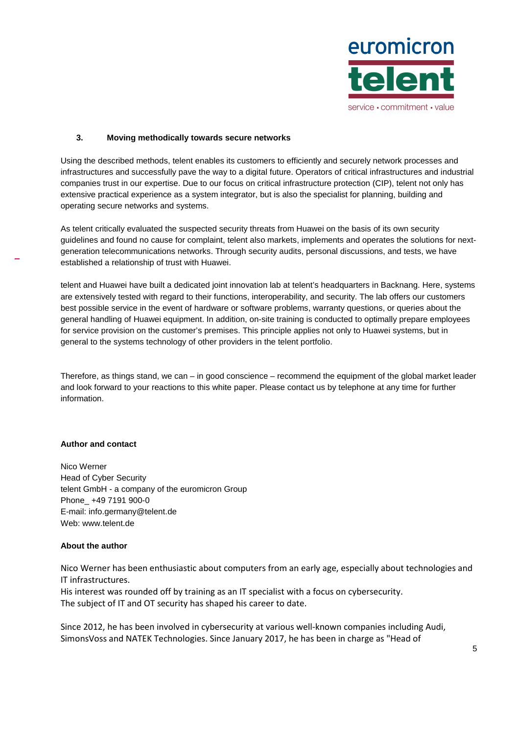

## **3. Moving methodically towards secure networks**

Using the described methods, telent enables its customers to efficiently and securely network processes and infrastructures and successfully pave the way to a digital future. Operators of critical infrastructures and industrial companies trust in our expertise. Due to our focus on critical infrastructure protection (CIP), telent not only has extensive practical experience as a system integrator, but is also the specialist for planning, building and operating secure networks and systems.

As telent critically evaluated the suspected security threats from Huawei on the basis of its own security guidelines and found no cause for complaint, telent also markets, implements and operates the solutions for nextgeneration telecommunications networks. Through security audits, personal discussions, and tests, we have established a relationship of trust with Huawei.

telent and Huawei have built a dedicated joint innovation lab at telent's headquarters in Backnang. Here, systems are extensively tested with regard to their functions, interoperability, and security. The lab offers our customers best possible service in the event of hardware or software problems, warranty questions, or queries about the general handling of Huawei equipment. In addition, on-site training is conducted to optimally prepare employees for service provision on the customer's premises. This principle applies not only to Huawei systems, but in general to the systems technology of other providers in the telent portfolio.

Therefore, as things stand, we can – in good conscience – recommend the equipment of the global market leader and look forward to your reactions to this white paper. Please contact us by telephone at any time for further information.

# **Author and contact**

Nico Werner Head of Cyber Security telent GmbH - a company of the euromicron Group Phone\_ +49 7191 900-0 E-mail: info.germany@telent.de Web: www.telent.de

## **About the author**

Nico Werner has been enthusiastic about computers from an early age, especially about technologies and IT infrastructures.

His interest was rounded off by training as an IT specialist with a focus on cybersecurity. The subject of IT and OT security has shaped his career to date.

Since 2012, he has been involved in cybersecurity at various well-known companies including Audi, SimonsVoss and NATEK Technologies. Since January 2017, he has been in charge as "Head of